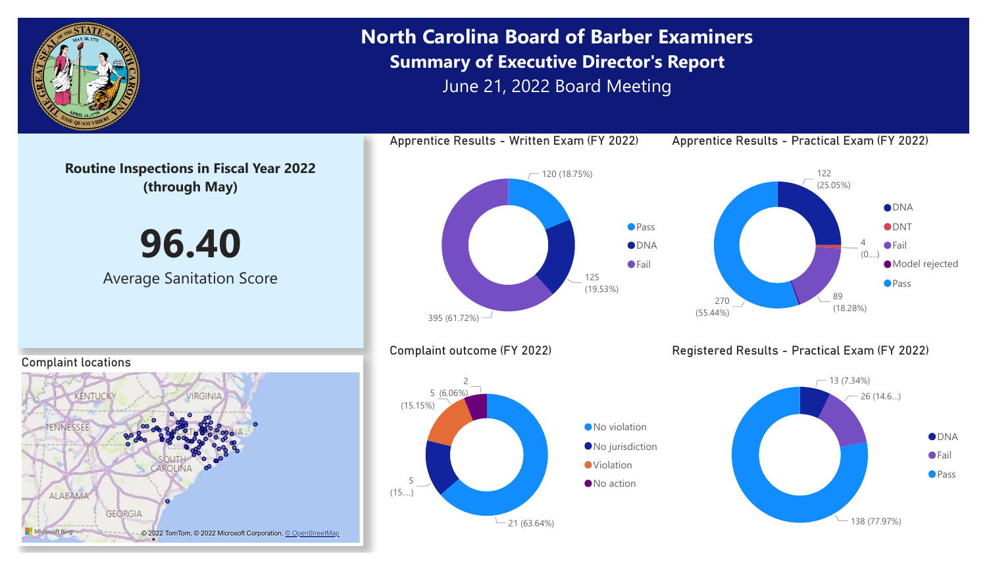

# **North Carolina Board of Barber Examiners Summary of Executive Director's Report** June 21, 2022 Board Meeting

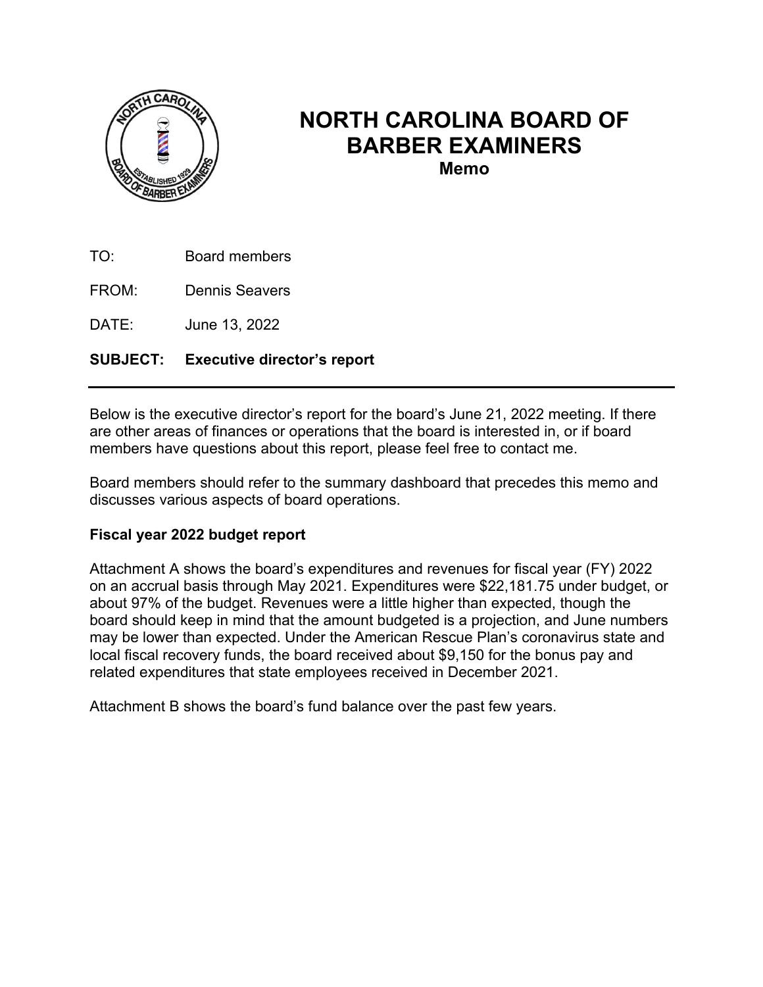

## **NORTH CAROLINA BOARD OF BARBER EXAMINERS**

**Memo** 

TO: Board members

FROM: Dennis Seavers

DATE: June 13, 2022

#### **SUBJECT: Executive director's report**

Below is the executive director's report for the board's June 21, 2022 meeting. If there are other areas of finances or operations that the board is interested in, or if board members have questions about this report, please feel free to contact me.

Board members should refer to the summary dashboard that precedes this memo and discusses various aspects of board operations.

#### **Fiscal year 2022 budget report**

Attachment A shows the board's expenditures and revenues for fiscal year (FY) 2022 on an accrual basis through May 2021. Expenditures were \$22,181.75 under budget, or about 97% of the budget. Revenues were a little higher than expected, though the board should keep in mind that the amount budgeted is a projection, and June numbers may be lower than expected. Under the American Rescue Plan's coronavirus state and local fiscal recovery funds, the board received about \$9,150 for the bonus pay and related expenditures that state employees received in December 2021.

Attachment B shows the board's fund balance over the past few years.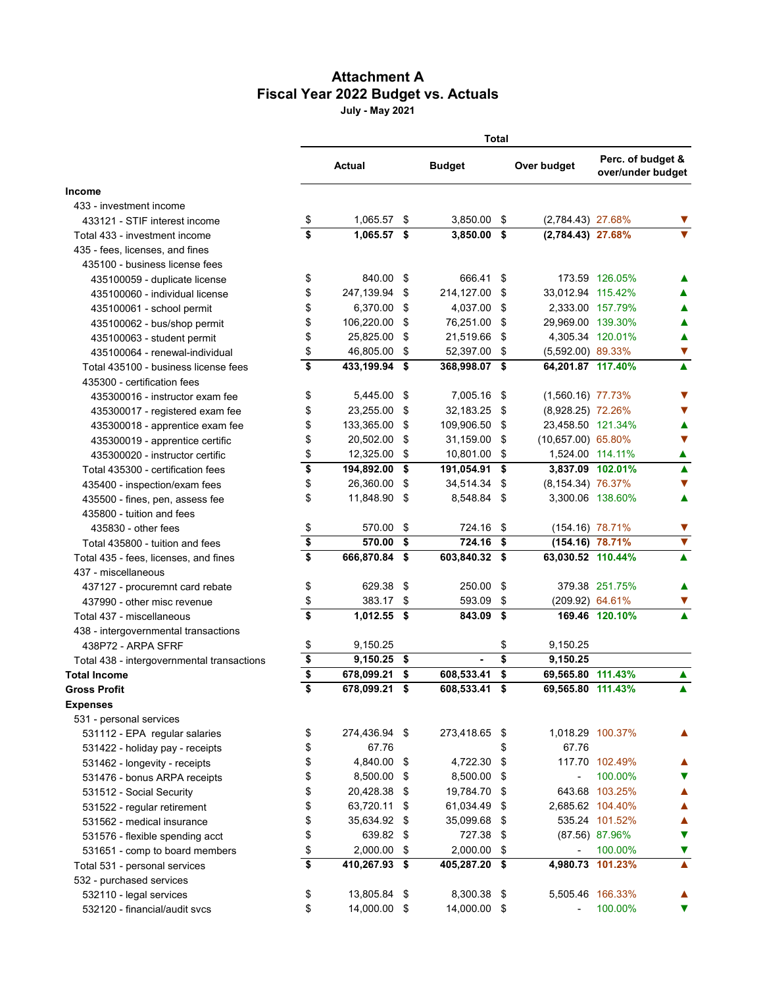### **Attachment A Fiscal Year 2022 Budget vs. Actuals**

**July - May 2021**

|                                            | <b>Total</b>                         |               |      |               |      |                          |                                        |                      |  |
|--------------------------------------------|--------------------------------------|---------------|------|---------------|------|--------------------------|----------------------------------------|----------------------|--|
|                                            | Actual                               |               |      | <b>Budget</b> |      | Over budget              | Perc. of budget &<br>over/under budget |                      |  |
| <b>Income</b>                              |                                      |               |      |               |      |                          |                                        |                      |  |
| 433 - investment income                    |                                      |               |      |               |      |                          |                                        |                      |  |
| 433121 - STIF interest income              | \$                                   | 1,065.57 \$   |      | 3,850.00 \$   |      | (2,784.43) 27.68%        |                                        | v                    |  |
| Total 433 - investment income              | \$                                   | 1,065.57 \$   |      | 3,850.00 \$   |      | (2,784.43) 27.68%        |                                        |                      |  |
| 435 - fees, licenses, and fines            |                                      |               |      |               |      |                          |                                        |                      |  |
| 435100 - business license fees             |                                      |               |      |               |      |                          |                                        |                      |  |
| 435100059 - duplicate license              | \$                                   | 840.00 \$     |      | 666.41 \$     |      |                          | 173.59 126.05%                         | ▲                    |  |
| 435100060 - individual license             | \$                                   | 247,139.94 \$ |      | 214,127.00 \$ |      | 33,012.94 115.42%        |                                        | ▲                    |  |
| 435100061 - school permit                  | \$                                   | 6,370.00 \$   |      | 4,037.00      | - \$ |                          | 2,333.00 157.79%                       | ▲                    |  |
| 435100062 - bus/shop permit                | \$                                   | 106,220.00    | - \$ | 76,251.00     | - \$ | 29,969.00 139.30%        |                                        | ▲                    |  |
| 435100063 - student permit                 | \$                                   | 25,825.00     | - \$ | 21,519.66     | -\$  |                          | 4,305.34 120.01%                       | ▲                    |  |
| 435100064 - renewal-individual             | \$                                   | 46,805.00     | - \$ | 52,397.00     | -\$  | $(5,592.00)$ 89.33%      |                                        | $\blacktriangledown$ |  |
| Total 435100 - business license fees       | \$                                   | 433,199.94 \$ |      | 368,998.07 \$ |      | 64,201.87 117.40%        |                                        | $\blacktriangle$     |  |
| 435300 - certification fees                |                                      |               |      |               |      |                          |                                        |                      |  |
| 435300016 - instructor exam fee            | \$                                   | 5,445.00 \$   |      | 7,005.16 \$   |      | $(1,560.16)$ 77.73%      |                                        | V                    |  |
| 435300017 - registered exam fee            | \$                                   | 23,255.00 \$  |      | 32,183.25 \$  |      | (8,928.25) 72.26%        |                                        | V                    |  |
| 435300018 - apprentice exam fee            | \$                                   | 133,365.00 \$ |      | 109,906.50 \$ |      | 23,458.50 121.34%        |                                        | ▲                    |  |
| 435300019 - apprentice certific            | \$                                   | 20,502.00 \$  |      | 31,159.00     | - \$ | $(10,657.00)$ 65.80%     |                                        | ▼                    |  |
| 435300020 - instructor certific            | \$                                   | 12,325.00 \$  |      | 10,801.00 \$  |      | 1,524.00 114.11%         |                                        | ▲                    |  |
| Total 435300 - certification fees          | \$                                   | 194,892.00 \$ |      | 191,054.91 \$ |      |                          | 3,837.09 102.01%                       | $\blacktriangle$     |  |
| 435400 - inspection/exam fees              | \$                                   | 26,360.00 \$  |      | 34,514.34 \$  |      | (8,154.34) 76.37%        |                                        | ▼                    |  |
| 435500 - fines, pen, assess fee            | \$                                   | 11,848.90 \$  |      | 8,548.84 \$   |      |                          | 3,300.06 138.60%                       | ▲                    |  |
| 435800 - tuition and fees                  |                                      |               |      |               |      |                          |                                        |                      |  |
| 435830 - other fees                        | \$                                   | 570.00        | -\$  | 724.16 \$     |      | (154.16) 78.71%          |                                        | V                    |  |
| Total 435800 - tuition and fees            | $\overline{\boldsymbol{\mathsf{s}}}$ | 570.00        | -\$  | 724.16        | \$   | (154.16) 78.71%          |                                        | $\blacktriangledown$ |  |
| Total 435 - fees, licenses, and fines      | $\overline{\mathbf{s}}$              | 666,870.84 \$ |      | 603,840.32 \$ |      | 63,030.52 110.44%        |                                        | ▲                    |  |
| 437 - miscellaneous                        |                                      |               |      |               |      |                          |                                        |                      |  |
| 437127 - procuremnt card rebate            | \$                                   | 629.38        | \$   | 250.00        | \$   |                          | 379.38 251.75%                         | ▲                    |  |
| 437990 - other misc revenue                | \$                                   | 383.17 \$     |      | 593.09 \$     |      | (209.92) 64.61%          |                                        | ▼                    |  |
| Total 437 - miscellaneous                  | \$                                   | 1,012.55 \$   |      | 843.09        | \$   |                          | 169.46 120.10%                         |                      |  |
| 438 - intergovernmental transactions       |                                      |               |      |               |      |                          |                                        |                      |  |
| 438P72 - ARPA SFRF                         | \$                                   | 9,150.25      |      |               | \$   | 9,150.25                 |                                        |                      |  |
| Total 438 - intergovernmental transactions | \$                                   | 9,150.25 \$   |      |               | \$   | 9,150.25                 |                                        |                      |  |
| <b>Total Income</b>                        | \$                                   | 678,099.21    | \$   | 608,533.41    | \$   | 69,565.80 111.43%        |                                        | ▲                    |  |
| <b>Gross Profit</b>                        | \$                                   | 678,099.21 \$ |      | 608,533.41 \$ |      | 69,565.80 111.43%        |                                        |                      |  |
| <b>Expenses</b>                            |                                      |               |      |               |      |                          |                                        |                      |  |
| 531 - personal services                    |                                      |               |      |               |      |                          |                                        |                      |  |
| 531112 - EPA regular salaries              | \$                                   | 274,436.94 \$ |      | 273,418.65 \$ |      |                          | 1,018.29 100.37%                       | ▲                    |  |
| 531422 - holiday pay - receipts            | \$                                   | 67.76         |      |               | \$   | 67.76                    |                                        |                      |  |
| 531462 - longevity - receipts              | \$                                   | 4,840.00 \$   |      | 4,722.30      | \$   |                          | 117.70 102.49%                         |                      |  |
| 531476 - bonus ARPA receipts               | \$                                   | 8,500.00 \$   |      | 8,500.00      | \$   | $\overline{\phantom{a}}$ | 100.00%                                |                      |  |
| 531512 - Social Security                   | \$                                   | 20,428.38 \$  |      | 19,784.70     | -\$  |                          | 643.68 103.25%                         | ▲                    |  |
| 531522 - regular retirement                | \$                                   | 63,720.11 \$  |      | 61,034.49     | - \$ |                          | 2,685.62 104.40%                       | ▲                    |  |
| 531562 - medical insurance                 | \$                                   | 35,634.92 \$  |      | 35,099.68 \$  |      |                          | 535.24 101.52%                         | ▲                    |  |
| 531576 - flexible spending acct            | \$                                   | 639.82 \$     |      | 727.38 \$     |      |                          | (87.56) 87.96%                         | ▼                    |  |
| 531651 - comp to board members             | \$                                   | 2,000.00 \$   |      | 2,000.00      | \$   | $\overline{\phantom{a}}$ | 100.00%                                | ▼                    |  |
| Total 531 - personal services              | $\overline{\$}$                      | 410,267.93 \$ |      | 405,287.20 \$ |      |                          | 4,980.73 101.23%                       |                      |  |
| 532 - purchased services                   |                                      |               |      |               |      |                          |                                        |                      |  |
| 532110 - legal services                    | \$                                   | 13,805.84 \$  |      | 8,300.38 \$   |      |                          | 5,505.46 166.33%                       |                      |  |
| 532120 - financial/audit svcs              | \$                                   | 14,000.00 \$  |      | 14,000.00 \$  |      | $\overline{\phantom{a}}$ | 100.00%                                | v                    |  |
|                                            |                                      |               |      |               |      |                          |                                        |                      |  |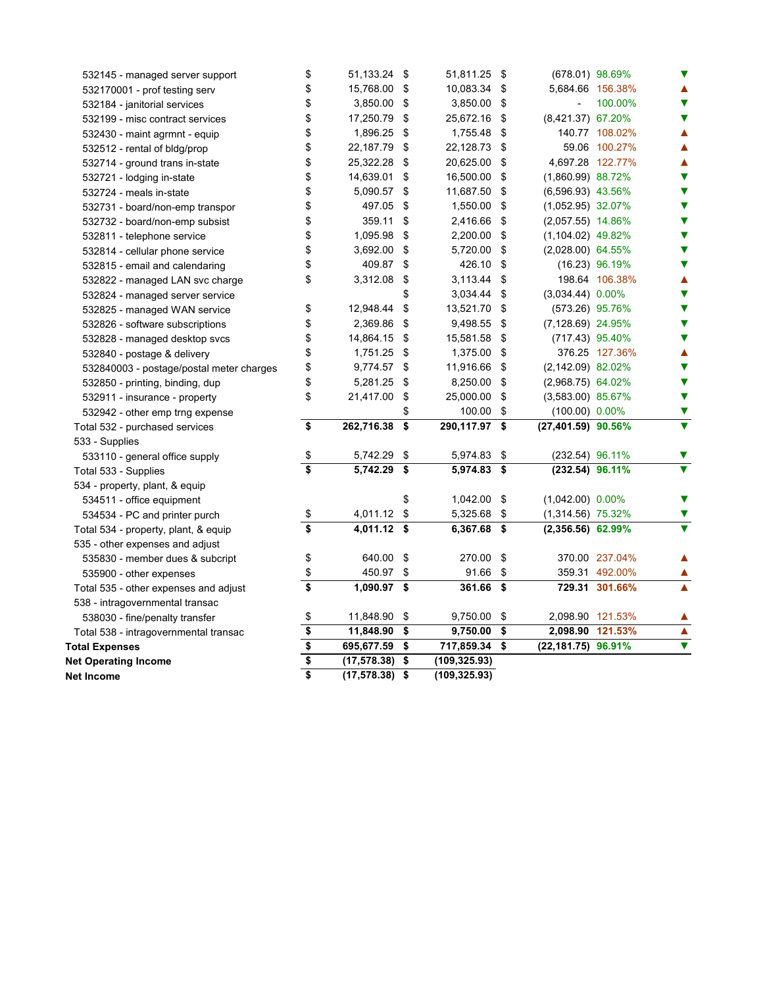| Net Income                               | \$<br>$(17, 578.38)$ \$ | (109, 325.93)       |      |                      |                  |                         |
|------------------------------------------|-------------------------|---------------------|------|----------------------|------------------|-------------------------|
| <b>Net Operating Income</b>              | (17, 578.38)            | \$<br>(109, 325.93) |      |                      |                  |                         |
| <b>Total Expenses</b>                    | \$<br>695,677.59        | \$<br>717,859.34    | \$   | (22,181.75) 96.91%   |                  | $\overline{\mathbf{v}}$ |
| Total 538 - intragovernmental transac    | \$<br>11,848.90         | \$<br>9,750.00      | \$   |                      | 2,098.90 121.53% | $\blacktriangle$        |
| 538030 - fine/penalty transfer           | \$<br>11,848.90         | \$<br>9,750.00      | \$   | 2,098.90 121.53%     |                  | ▲                       |
| 538 - intragovernmental transac          |                         |                     |      |                      |                  |                         |
| Total 535 - other expenses and adjust    | \$<br>1,090.97 \$       | 361.66 \$           |      |                      | 729.31 301.66%   | ▲                       |
| 535900 - other expenses                  | \$<br>450.97            | \$<br>91.66         | \$   |                      | 359.31 492.00%   |                         |
| 535830 - member dues & subcript          | \$<br>640.00 \$         | 270.00              | \$   |                      | 370.00 237.04%   |                         |
| 535 - other expenses and adjust          |                         |                     |      |                      |                  |                         |
| Total 534 - property, plant, & equip     | \$<br>4,011.12 \$       | 6,367.68            | \$   | $(2,356.56)$ 62.99%  |                  | $\overline{\mathbf{v}}$ |
| 534534 - PC and printer purch            | \$<br>4,011.12          | \$<br>5,325.68      | \$   | $(1,314.56)$ 75.32%  |                  | ▼                       |
| 534511 - office equipment                |                         | \$<br>1,042.00      | - \$ | $(1,042.00)$ 0.00%   |                  | v                       |
| 534 - property, plant, & equip           |                         |                     |      |                      |                  |                         |
| Total 533 - Supplies                     | \$<br>5,742.29          | \$<br>5,974.83 \$   |      | (232.54) 96.11%      |                  | $\overline{\mathbf{v}}$ |
| 533110 - general office supply           | \$<br>5,742.29          | \$<br>5,974.83 \$   |      | (232.54) 96.11%      |                  | V                       |
| 533 - Supplies                           |                         |                     |      |                      |                  |                         |
| Total 532 - purchased services           | \$<br>262,716.38        | \$<br>290,117.97 \$ |      | (27,401.59) 90.56%   |                  | $\overline{\mathbf{v}}$ |
| 532942 - other emp trng expense          |                         | \$<br>100.00        | \$   | $(100.00) 0.00\%$    |                  | ▼                       |
| 532911 - insurance - property            | \$<br>21,417.00         | \$<br>25,000.00     | \$   | $(3,583.00)$ 85.67%  |                  | $\blacktriangledown$    |
| 532850 - printing, binding, dup          | \$<br>5,281.25          | \$<br>8,250.00      | \$   | $(2,968.75)$ 64.02%  |                  | $\blacktriangledown$    |
| 532840003 - postage/postal meter charges | \$<br>9,774.57 \$       | 11,916.66           | \$   | (2,142.09) 82.02%    |                  | ▼                       |
| 532840 - postage & delivery              | \$<br>1,751.25 \$       | 1,375.00            | \$   |                      | 376.25 127.36%   | ▲                       |
| 532828 - managed desktop svcs            | \$<br>14,864.15 \$      | 15,581.58           | - \$ | (717.43) 95.40%      |                  | $\blacktriangledown$    |
| 532826 - software subscriptions          | \$<br>2,369.86          | \$<br>9,498.55      | \$   | $(7, 128.69)$ 24.95% |                  | ▼                       |
| 532825 - managed WAN service             | \$<br>12,948.44         | \$<br>13,521.70     | \$   | (573.26) 95.76%      |                  | $\blacktriangledown$    |
| 532824 - managed server service          |                         | \$<br>3,034.44      | \$   | $(3,034.44)$ 0.00%   |                  | ▼                       |
| 532822 - managed LAN svc charge          | \$<br>3,312.08          | \$<br>3,113.44      | \$   |                      | 198.64 106.38%   | ▲                       |
| 532815 - email and calendaring           | \$<br>409.87            | \$<br>426.10        | \$   |                      | $(16.23)$ 96.19% | $\blacktriangledown$    |
| 532814 - cellular phone service          | \$<br>3,692.00          | \$<br>5,720.00      | \$   | $(2,028.00)$ 64.55%  |                  | ▼                       |
| 532811 - telephone service               | \$<br>1,095.98          | \$<br>2,200.00      | \$   | $(1,104.02)$ 49.82%  |                  | $\blacktriangledown$    |
| 532732 - board/non-emp subsist           | \$<br>359.11            | \$<br>2,416.66      | \$   | $(2,057.55)$ 14.86%  |                  | $\blacktriangledown$    |
| 532731 - board/non-emp transpor          | \$<br>497.05            | \$<br>1,550.00      | -\$  | $(1,052.95)$ 32.07%  |                  | $\blacktriangledown$    |
| 532724 - meals in-state                  | \$<br>5,090.57          | \$<br>11,687.50     | -\$  | $(6,596.93)$ 43.56%  |                  | ▼                       |
| 532721 - lodging in-state                | \$<br>14,639.01         | \$<br>16,500.00     | \$   | $(1,860.99)$ 88.72%  |                  | $\blacktriangledown$    |
| 532714 - ground trans in-state           | \$<br>25,322.28         | \$<br>20,625.00     | \$   |                      | 4,697.28 122.77% | ▲                       |
| 532512 - rental of bldg/prop             | \$<br>22,187.79         | \$<br>22,128.73     | \$   |                      | 59.06 100.27%    | ▲                       |
| 532430 - maint agrmnt - equip            | \$<br>1,896.25          | \$<br>1,755.48      | - \$ |                      | 140.77 108.02%   | ▲                       |
| 532199 - misc contract services          | \$<br>17,250.79         | \$<br>25,672.16     | \$   | $(8,421.37)$ 67.20%  |                  | $\blacktriangledown$    |
| 532184 - janitorial services             | \$<br>3,850.00          | \$<br>3,850.00      | \$   |                      | 100.00%          | $\blacktriangledown$    |
| 532170001 - prof testing serv            | \$<br>15,768.00 \$      | 10,083.34           | \$   |                      | 5,684.66 156.38% | ▲                       |
| 532145 - managed server support          | \$<br>51,133.24 \$      | 51,811.25 \$        |      | (678.01) 98.69%      |                  | ▼                       |